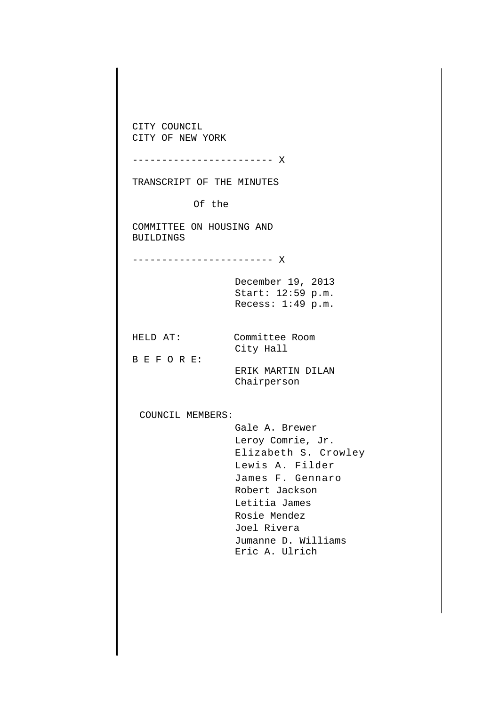CITY COUNCIL CITY OF NEW YORK ------------------------ X TRANSCRIPT OF THE MINUTES Of the COMMITTEE ON HOUSING AND BUILDINGS ------------------------ X December 19, 2013 Start: 12:59 p.m. Recess: 1:49 p.m. HELD AT: Committee Room City Hall B E F O R E: ERIK MARTIN DILAN Chairperson COUNCIL MEMBERS: Gale A. Brewer Leroy Comrie, Jr. Elizabeth S. Crowley Lewis A. Filder James F. Gennaro Robert Jackson Letitia James Rosie Mendez Joel Rivera Jumanne D. Williams Eric A. Ulrich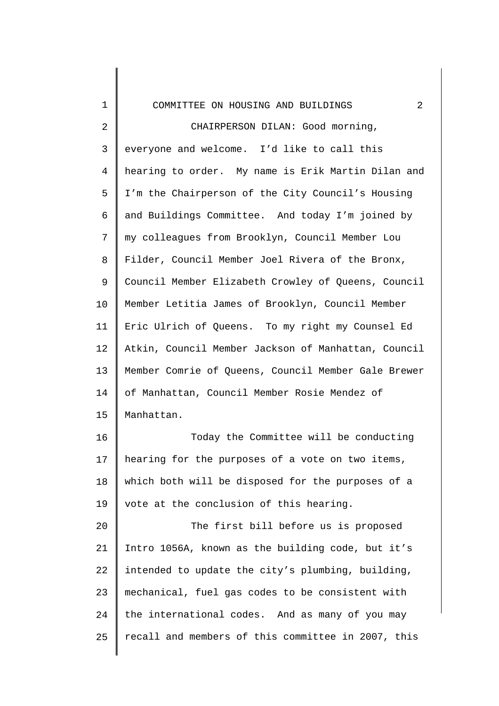## COMMITTEE ON HOUSING AND BUILDINGS 2

1

2 3 4 5 6 7 8 9 10 11 12 13 14 15 CHAIRPERSON DILAN: Good morning, everyone and welcome. I'd like to call this hearing to order. My name is Erik Martin Dilan and I'm the Chairperson of the City Council's Housing and Buildings Committee. And today I'm joined by my colleagues from Brooklyn, Council Member Lou Filder, Council Member Joel Rivera of the Bronx, Council Member Elizabeth Crowley of Queens, Council Member Letitia James of Brooklyn, Council Member Eric Ulrich of Queens. To my right my Counsel Ed Atkin, Council Member Jackson of Manhattan, Council Member Comrie of Queens, Council Member Gale Brewer of Manhattan, Council Member Rosie Mendez of Manhattan.

16 17 18 19 Today the Committee will be conducting hearing for the purposes of a vote on two items, which both will be disposed for the purposes of a vote at the conclusion of this hearing.

20 21 22 23 24 25 The first bill before us is proposed Intro 1056A, known as the building code, but it's intended to update the city's plumbing, building, mechanical, fuel gas codes to be consistent with the international codes. And as many of you may recall and members of this committee in 2007, this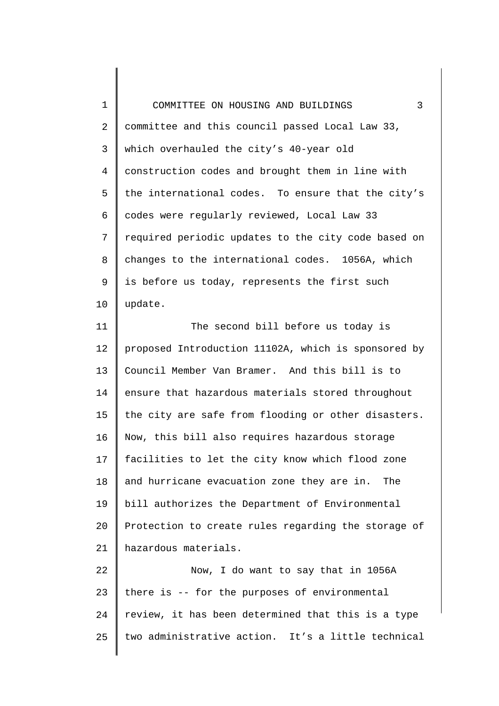1 2 3 4 5 6 7 8 9 10 COMMITTEE ON HOUSING AND BUILDINGS 3 committee and this council passed Local Law 33, which overhauled the city's 40-year old construction codes and brought them in line with the international codes. To ensure that the city's codes were regularly reviewed, Local Law 33 required periodic updates to the city code based on changes to the international codes. 1056A, which is before us today, represents the first such update.

11 12 13 14 15 16 17 18 19 20 21 The second bill before us today is proposed Introduction 11102A, which is sponsored by Council Member Van Bramer. And this bill is to ensure that hazardous materials stored throughout the city are safe from flooding or other disasters. Now, this bill also requires hazardous storage facilities to let the city know which flood zone and hurricane evacuation zone they are in. The bill authorizes the Department of Environmental Protection to create rules regarding the storage of hazardous materials.

22 23 24 25 Now, I do want to say that in 1056A there is -- for the purposes of environmental review, it has been determined that this is a type two administrative action. It's a little technical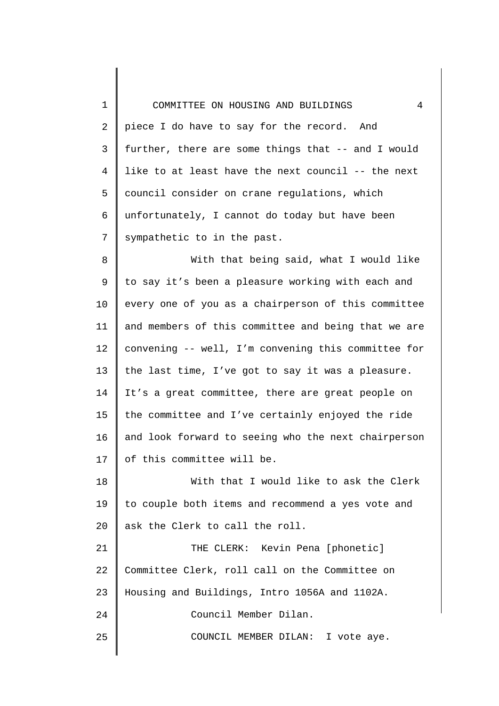1 2 3 4 5 6 7 8 9 10 11 12 13 14 15 16 17 18 19 20 21 22 23 24 25 COMMITTEE ON HOUSING AND BUILDINGS 4 piece I do have to say for the record. And further, there are some things that -- and I would like to at least have the next council -- the next council consider on crane regulations, which unfortunately, I cannot do today but have been sympathetic to in the past. With that being said, what I would like to say it's been a pleasure working with each and every one of you as a chairperson of this committee and members of this committee and being that we are convening -- well, I'm convening this committee for the last time, I've got to say it was a pleasure. It's a great committee, there are great people on the committee and I've certainly enjoyed the ride and look forward to seeing who the next chairperson of this committee will be. With that I would like to ask the Clerk to couple both items and recommend a yes vote and ask the Clerk to call the roll. THE CLERK: Kevin Pena [phonetic] Committee Clerk, roll call on the Committee on Housing and Buildings, Intro 1056A and 1102A. Council Member Dilan. COUNCIL MEMBER DILAN: I vote aye.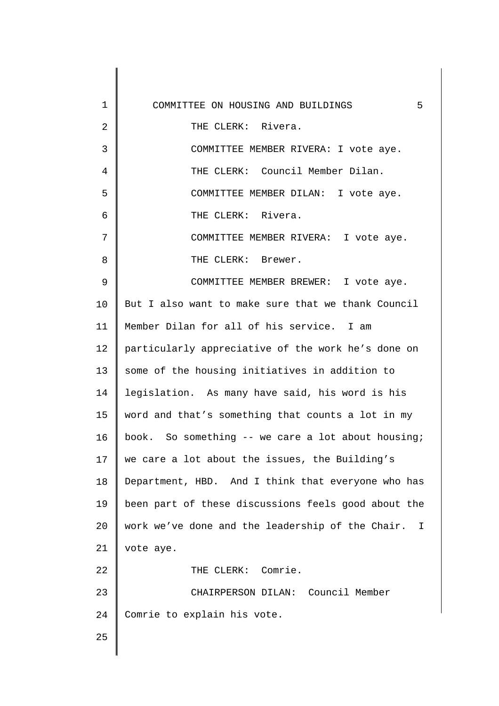| $\mathbf 1$    | 5<br>COMMITTEE ON HOUSING AND BUILDINGS             |
|----------------|-----------------------------------------------------|
| $\overline{2}$ | THE CLERK: Rivera.                                  |
| 3              | COMMITTEE MEMBER RIVERA: I vote aye.                |
| $\overline{4}$ | THE CLERK: Council Member Dilan.                    |
| 5              | COMMITTEE MEMBER DILAN: I vote aye.                 |
| 6              | THE CLERK: Rivera.                                  |
| 7              | COMMITTEE MEMBER RIVERA: I vote aye.                |
| 8              | THE CLERK: Brewer.                                  |
| 9              | COMMITTEE MEMBER BREWER: I vote aye.                |
| 10             | But I also want to make sure that we thank Council  |
| 11             | Member Dilan for all of his service. I am           |
| 12             | particularly appreciative of the work he's done on  |
| 13             | some of the housing initiatives in addition to      |
| 14             | legislation. As many have said, his word is his     |
| 15             | word and that's something that counts a lot in my   |
| 16             | book. So something -- we care a lot about housing;  |
| 17             | we care a lot about the issues, the Building's      |
| 18             | Department, HBD. And I think that everyone who has  |
| 19             | been part of these discussions feels good about the |
| 20             | work we've done and the leadership of the Chair. I  |
| 21             | vote aye.                                           |
| 22             | THE CLERK: Comrie.                                  |
| 23             | CHAIRPERSON DILAN: Council Member                   |
| 24             | Comrie to explain his vote.                         |
| 25             |                                                     |
|                |                                                     |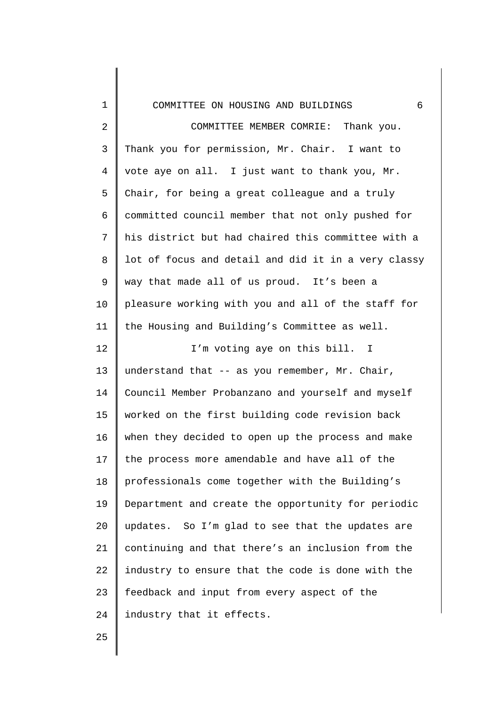| $\mathbf 1$ | 6<br>COMMITTEE ON HOUSING AND BUILDINGS             |
|-------------|-----------------------------------------------------|
| 2           | Thank you.<br>COMMITTEE MEMBER COMRIE:              |
| 3           | Thank you for permission, Mr. Chair. I want to      |
| 4           | vote aye on all. I just want to thank you, Mr.      |
| 5           | Chair, for being a great colleague and a truly      |
| 6           | committed council member that not only pushed for   |
| 7           | his district but had chaired this committee with a  |
| 8           | lot of focus and detail and did it in a very classy |
| 9           | way that made all of us proud. It's been a          |
| 10          | pleasure working with you and all of the staff for  |
| 11          | the Housing and Building's Committee as well.       |
| 12          | I'm voting aye on this bill. I                      |
| 13          | understand that -- as you remember, Mr. Chair,      |
| 14          | Council Member Probanzano and yourself and myself   |
| 15          | worked on the first building code revision back     |
| 16          | when they decided to open up the process and make   |
| 17          | the process more amendable and have all of the      |
| 18          | professionals come together with the Building's     |
| 19          | Department and create the opportunity for periodic  |
| 20          | updates. So I'm glad to see that the updates are    |
| 21          | continuing and that there's an inclusion from the   |
| 22          | industry to ensure that the code is done with the   |
| 23          | feedback and input from every aspect of the         |
| 24          | industry that it effects.                           |
| 25          |                                                     |
|             |                                                     |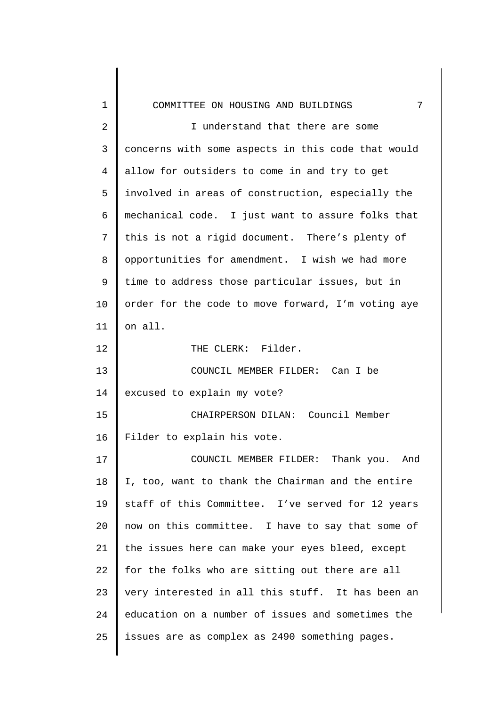| 1              | 7<br>COMMITTEE ON HOUSING AND BUILDINGS            |
|----------------|----------------------------------------------------|
| $\overline{2}$ | I understand that there are some                   |
| 3              | concerns with some aspects in this code that would |
| 4              | allow for outsiders to come in and try to get      |
| 5              | involved in areas of construction, especially the  |
| 6              | mechanical code. I just want to assure folks that  |
| 7              | this is not a rigid document. There's plenty of    |
| 8              | opportunities for amendment. I wish we had more    |
| 9              | time to address those particular issues, but in    |
| 10             | order for the code to move forward, I'm voting aye |
| 11             | on all.                                            |
| 12             | THE CLERK: Filder.                                 |
| 13             | COUNCIL MEMBER FILDER: Can I be                    |
| 14             | excused to explain my vote?                        |
| 15             | CHAIRPERSON DILAN: Council Member                  |
| 16             | Filder to explain his vote.                        |
| 17             | COUNCIL MEMBER FILDER: Thank you. And              |
| 18             | I, too, want to thank the Chairman and the entire  |
| 19             | staff of this Committee. I've served for 12 years  |
| 20             | now on this committee. I have to say that some of  |
| 21             | the issues here can make your eyes bleed, except   |
| 22             | for the folks who are sitting out there are all    |
| 23             | very interested in all this stuff. It has been an  |
| 24             | education on a number of issues and sometimes the  |
| 25             | issues are as complex as 2490 something pages.     |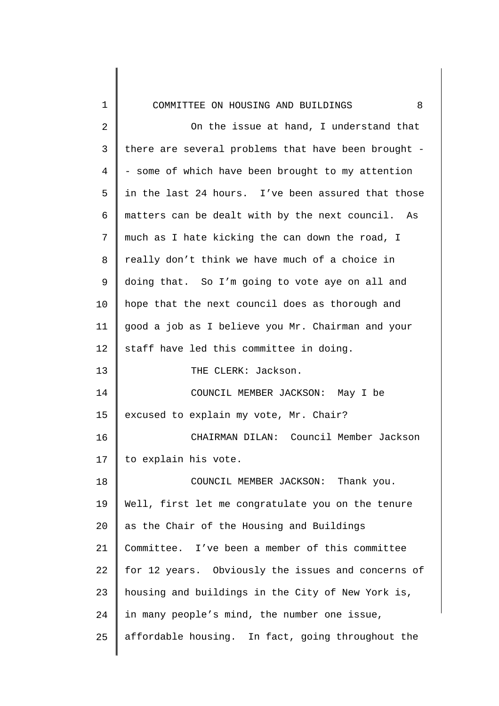| 1              | 8<br>COMMITTEE ON HOUSING AND BUILDINGS             |
|----------------|-----------------------------------------------------|
| $\overline{2}$ | On the issue at hand, I understand that             |
| $\mathsf{3}$   | there are several problems that have been brought - |
| $\overline{4}$ | - some of which have been brought to my attention   |
| 5              | in the last 24 hours. I've been assured that those  |
| 6              | matters can be dealt with by the next council. As   |
| 7              | much as I hate kicking the can down the road, I     |
| 8              | really don't think we have much of a choice in      |
| 9              | doing that. So I'm going to vote aye on all and     |
| 10             | hope that the next council does as thorough and     |
| 11             | good a job as I believe you Mr. Chairman and your   |
| 12             | staff have led this committee in doing.             |
| 13             | THE CLERK: Jackson.                                 |
| 14             | COUNCIL MEMBER JACKSON: May I be                    |
| 15             | excused to explain my vote, Mr. Chair?              |
| 16             | CHAIRMAN DILAN: Council Member Jackson              |
| 17             | to explain his vote.                                |
| 18             | COUNCIL MEMBER JACKSON: Thank you.                  |
| 19             | Well, first let me congratulate you on the tenure   |
| 20             | as the Chair of the Housing and Buildings           |
| 21             | Committee. I've been a member of this committee     |
| 22             | for 12 years. Obviously the issues and concerns of  |
| 23             | housing and buildings in the City of New York is,   |
| 24             | in many people's mind, the number one issue,        |
| 25             | affordable housing. In fact, going throughout the   |
|                |                                                     |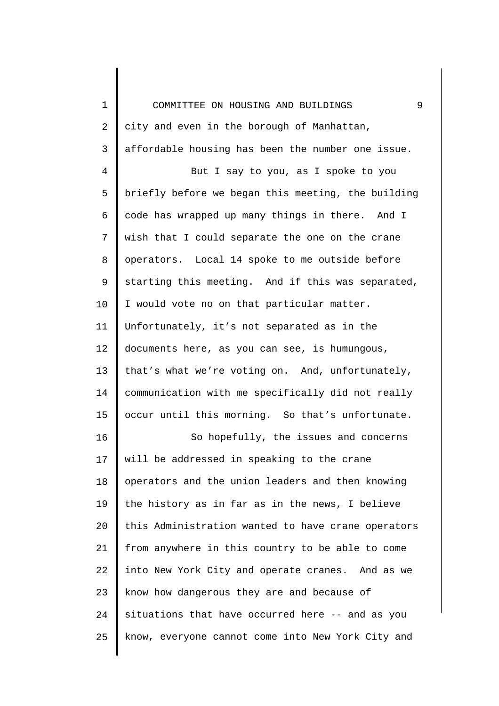| $\mathbf 1$ | 9<br>COMMITTEE ON HOUSING AND BUILDINGS            |
|-------------|----------------------------------------------------|
| 2           | city and even in the borough of Manhattan,         |
| 3           | affordable housing has been the number one issue.  |
| 4           | But I say to you, as I spoke to you                |
| 5           | briefly before we began this meeting, the building |
| 6           | code has wrapped up many things in there. And I    |
| 7           | wish that I could separate the one on the crane    |
| 8           | operators. Local 14 spoke to me outside before     |
| 9           | starting this meeting. And if this was separated,  |
| 10          | I would vote no on that particular matter.         |
| 11          | Unfortunately, it's not separated as in the        |
| 12          | documents here, as you can see, is humungous,      |
| 13          | that's what we're voting on. And, unfortunately,   |
| 14          | communication with me specifically did not really  |
| 15          | occur until this morning. So that's unfortunate.   |
| 16          | So hopefully, the issues and concerns              |
| 17          | will be addressed in speaking to the crane         |
| 18          | operators and the union leaders and then knowing   |
| 19          | the history as in far as in the news, I believe    |
| 20          | this Administration wanted to have crane operators |
| 21          | from anywhere in this country to be able to come   |
| 22          | into New York City and operate cranes. And as we   |
| 23          | know how dangerous they are and because of         |
| 24          | situations that have occurred here -- and as you   |
| 25          | know, everyone cannot come into New York City and  |
|             |                                                    |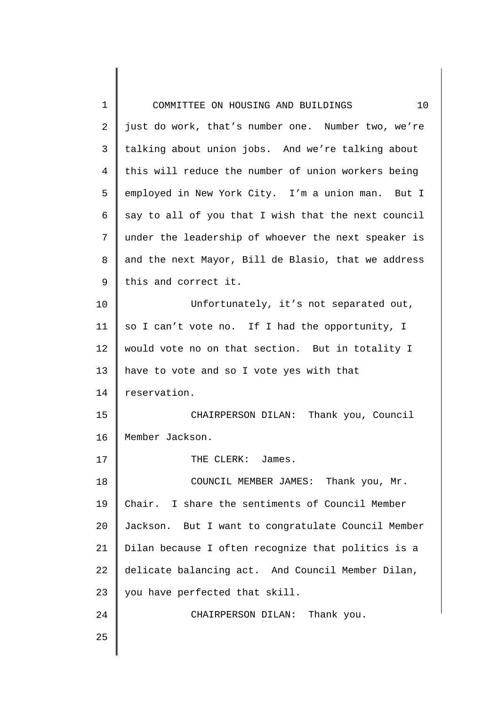| 1              | 10<br>COMMITTEE ON HOUSING AND BUILDINGS            |
|----------------|-----------------------------------------------------|
| $\overline{2}$ | just do work, that's number one. Number two, we're  |
| 3              | talking about union jobs. And we're talking about   |
| 4              | this will reduce the number of union workers being  |
| 5              | employed in New York City. I'm a union man. But I   |
| 6              | say to all of you that I wish that the next council |
| 7              | under the leadership of whoever the next speaker is |
| 8              | and the next Mayor, Bill de Blasio, that we address |
| 9              | this and correct it.                                |
| 10             | Unfortunately, it's not separated out,              |
| 11             | so I can't vote no. If I had the opportunity, I     |
| 12             | would vote no on that section. But in totality I    |
| 13             | have to vote and so I vote yes with that            |
| 14             | reservation.                                        |
| 15             | CHAIRPERSON DILAN: Thank you, Council               |
| 16             | Member Jackson.                                     |
| 17             | THE CLERK: James.                                   |
| 18             | COUNCIL MEMBER JAMES: Thank you, Mr.                |
| 19             | Chair. I share the sentiments of Council Member     |
| 20             | Jackson. But I want to congratulate Council Member  |
| 21             | Dilan because I often recognize that politics is a  |
| 22             | delicate balancing act. And Council Member Dilan,   |
| 23             | you have perfected that skill.                      |
| 24             | CHAIRPERSON DILAN: Thank you.                       |
| 25             |                                                     |
|                |                                                     |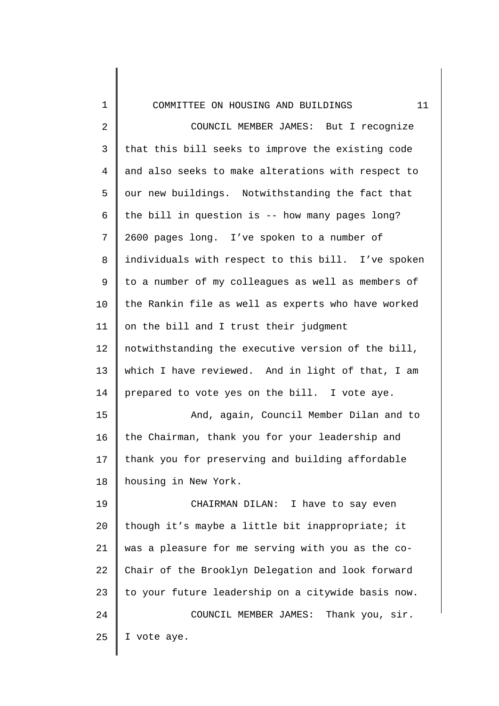| 1              | 11<br>COMMITTEE ON HOUSING AND BUILDINGS           |
|----------------|----------------------------------------------------|
| $\overline{2}$ | COUNCIL MEMBER JAMES: But I recognize              |
| $\mathsf{3}$   | that this bill seeks to improve the existing code  |
| $\overline{4}$ | and also seeks to make alterations with respect to |
| 5              | our new buildings. Notwithstanding the fact that   |
| 6              | the bill in question is -- how many pages long?    |
| 7              | 2600 pages long. I've spoken to a number of        |
| $\,8\,$        | individuals with respect to this bill. I've spoken |
| 9              | to a number of my colleagues as well as members of |
| 10             | the Rankin file as well as experts who have worked |
| 11             | on the bill and I trust their judgment             |
| 12             | notwithstanding the executive version of the bill, |
| 13             | which I have reviewed. And in light of that, I am  |
| 14             | prepared to vote yes on the bill. I vote aye.      |
| 15             | And, again, Council Member Dilan and to            |
| 16             | the Chairman, thank you for your leadership and    |
| 17             | thank you for preserving and building affordable   |
| 18             | housing in New York.                               |
| 19             | CHAIRMAN DILAN: I have to say even                 |
| 20             | though it's maybe a little bit inappropriate; it   |
| 21             | was a pleasure for me serving with you as the co-  |
| 22             | Chair of the Brooklyn Delegation and look forward  |
| 23             | to your future leadership on a citywide basis now. |
| 24             | Thank you, sir.<br>COUNCIL MEMBER JAMES:           |
| 25             | I vote aye.                                        |
|                |                                                    |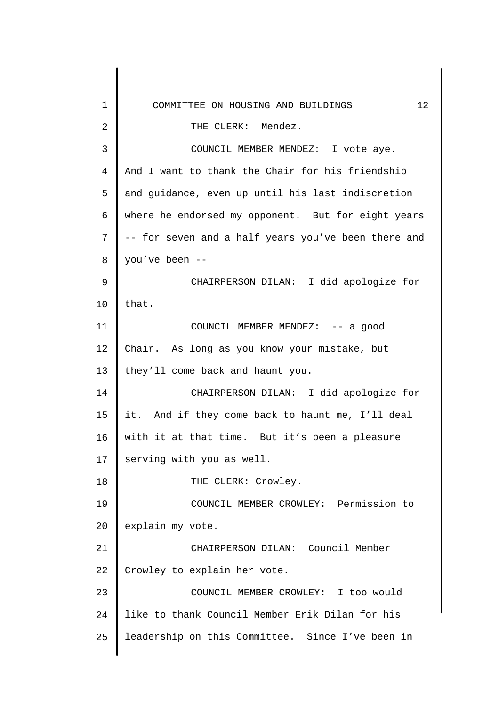| 1               | 12 <sup>°</sup><br>COMMITTEE ON HOUSING AND BUILDINGS |
|-----------------|-------------------------------------------------------|
| $\overline{2}$  | THE CLERK: Mendez.                                    |
| 3               | COUNCIL MEMBER MENDEZ: I vote aye.                    |
| 4               | And I want to thank the Chair for his friendship      |
| 5               | and guidance, even up until his last indiscretion     |
| 6               | where he endorsed my opponent. But for eight years    |
| 7               | -- for seven and a half years you've been there and   |
| 8               | you've been --                                        |
| 9               | CHAIRPERSON DILAN: I did apologize for                |
| 10              | that.                                                 |
| 11              | COUNCIL MEMBER MENDEZ: -- a good                      |
| 12              | Chair. As long as you know your mistake, but          |
| 13              | they'll come back and haunt you.                      |
| 14              | CHAIRPERSON DILAN: I did apologize for                |
| 15 <sub>1</sub> | it. And if they come back to haunt me, I'll deal      |
| 16              | with it at that time. But it's been a pleasure        |
| 17              | serving with you as well.                             |
| 18              | THE CLERK: Crowley.                                   |
| 19              | COUNCIL MEMBER CROWLEY: Permission to                 |
| 20              | explain my vote.                                      |
| 21              | CHAIRPERSON DILAN: Council Member                     |
| 22              | Crowley to explain her vote.                          |
| 23              | COUNCIL MEMBER CROWLEY: I too would                   |
| 24              | like to thank Council Member Erik Dilan for his       |
| 25              | leadership on this Committee. Since I've been in      |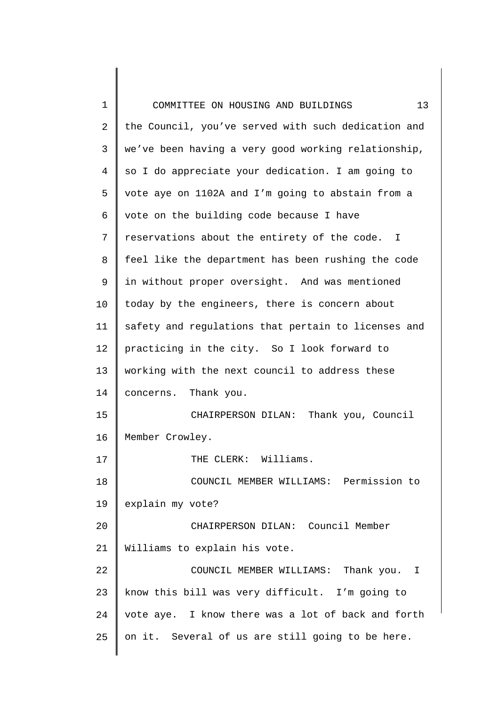| 1              | 13<br>COMMITTEE ON HOUSING AND BUILDINGS            |
|----------------|-----------------------------------------------------|
| $\overline{2}$ | the Council, you've served with such dedication and |
| 3              | we've been having a very good working relationship, |
| 4              | so I do appreciate your dedication. I am going to   |
| 5              | vote aye on 1102A and I'm going to abstain from a   |
| 6              | vote on the building code because I have            |
| 7              | reservations about the entirety of the code. I      |
| 8              | feel like the department has been rushing the code  |
| 9              | in without proper oversight. And was mentioned      |
| 10             | today by the engineers, there is concern about      |
| 11             | safety and regulations that pertain to licenses and |
| 12             | practicing in the city. So I look forward to        |
| 13             | working with the next council to address these      |
| 14             | concerns. Thank you.                                |
| 15             | CHAIRPERSON DILAN: Thank you, Council               |
| 16             | Member Crowley.                                     |
| 17             | THE CLERK: Williams.                                |
| 18             | COUNCIL MEMBER WILLIAMS: Permission to              |
| 19             | explain my vote?                                    |
| 20             | CHAIRPERSON DILAN: Council Member                   |
| 21             | Williams to explain his vote.                       |
| 22             | COUNCIL MEMBER WILLIAMS: Thank you. I               |
| 23             | know this bill was very difficult. I'm going to     |
| 24             | vote aye. I know there was a lot of back and forth  |
| 25             | on it. Several of us are still going to be here.    |
|                |                                                     |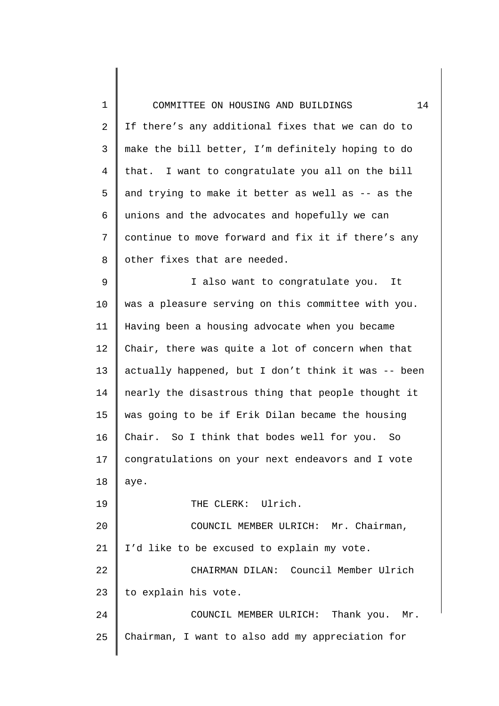| 1              | 14<br>COMMITTEE ON HOUSING AND BUILDINGS            |
|----------------|-----------------------------------------------------|
| $\overline{2}$ | If there's any additional fixes that we can do to   |
| $\mathsf{3}$   | make the bill better, I'm definitely hoping to do   |
| $\overline{4}$ | that. I want to congratulate you all on the bill    |
| 5              | and trying to make it better as well as -- as the   |
| 6              | unions and the advocates and hopefully we can       |
| 7              | continue to move forward and fix it if there's any  |
| 8              | other fixes that are needed.                        |
| 9              | I also want to congratulate you. It                 |
| 10             | was a pleasure serving on this committee with you.  |
| 11             | Having been a housing advocate when you became      |
| 12             | Chair, there was quite a lot of concern when that   |
| 13             | actually happened, but I don't think it was -- been |
| 14             | nearly the disastrous thing that people thought it  |
| 15             | was going to be if Erik Dilan became the housing    |
| 16             | Chair. So I think that bodes well for you.<br>So    |
| 17             | congratulations on your next endeavors and I vote   |
| 18             | aye.                                                |
| 19             | THE CLERK: Ulrich.                                  |
| 20             | COUNCIL MEMBER ULRICH: Mr. Chairman,                |
| 21             | I'd like to be excused to explain my vote.          |
| 22             | CHAIRMAN DILAN: Council Member Ulrich               |
| 23             | to explain his vote.                                |
| 24             | COUNCIL MEMBER ULRICH: Thank you. Mr.               |
| 25             | Chairman, I want to also add my appreciation for    |
|                |                                                     |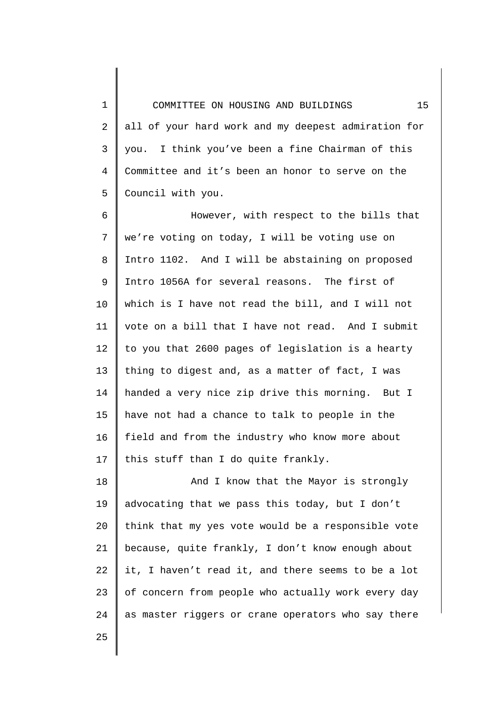1 2 3 4 5 COMMITTEE ON HOUSING AND BUILDINGS 15 all of your hard work and my deepest admiration for you. I think you've been a fine Chairman of this Committee and it's been an honor to serve on the Council with you.

6 7 8 9 10 11 12 13 14 15 16 17 However, with respect to the bills that we're voting on today, I will be voting use on Intro 1102. And I will be abstaining on proposed Intro 1056A for several reasons. The first of which is I have not read the bill, and I will not vote on a bill that I have not read. And I submit to you that 2600 pages of legislation is a hearty thing to digest and, as a matter of fact, I was handed a very nice zip drive this morning. But I have not had a chance to talk to people in the field and from the industry who know more about this stuff than I do quite frankly.

18 19 20 21 22 23 24 And I know that the Mayor is strongly advocating that we pass this today, but I don't think that my yes vote would be a responsible vote because, quite frankly, I don't know enough about it, I haven't read it, and there seems to be a lot of concern from people who actually work every day as master riggers or crane operators who say there

25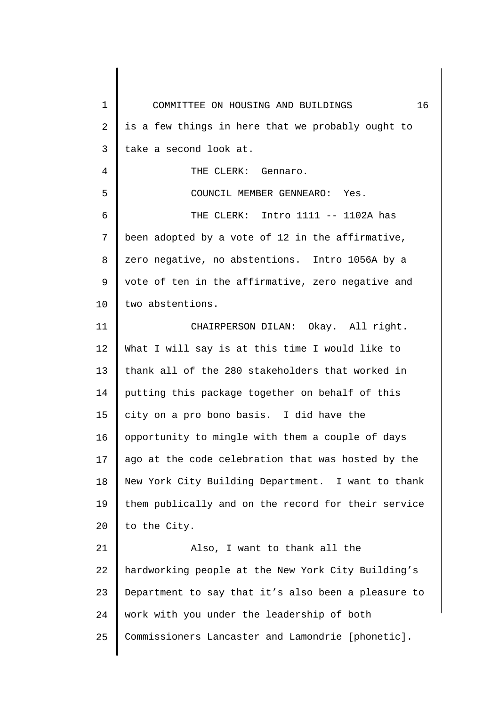1 2 3 4 5 6 7 8 9 10 11 12 13 14 15 16 17 18 19 20 21 22 23 24 25 COMMITTEE ON HOUSING AND BUILDINGS 16 is a few things in here that we probably ought to take a second look at. THE CLERK: Gennaro. COUNCIL MEMBER GENNEARO: Yes. THE CLERK: Intro 1111 -- 1102A has been adopted by a vote of 12 in the affirmative, zero negative, no abstentions. Intro 1056A by a vote of ten in the affirmative, zero negative and two abstentions. CHAIRPERSON DILAN: Okay. All right. What I will say is at this time I would like to thank all of the 280 stakeholders that worked in putting this package together on behalf of this city on a pro bono basis. I did have the opportunity to mingle with them a couple of days ago at the code celebration that was hosted by the New York City Building Department. I want to thank them publically and on the record for their service to the City. Also, I want to thank all the hardworking people at the New York City Building's Department to say that it's also been a pleasure to work with you under the leadership of both Commissioners Lancaster and Lamondrie [phonetic].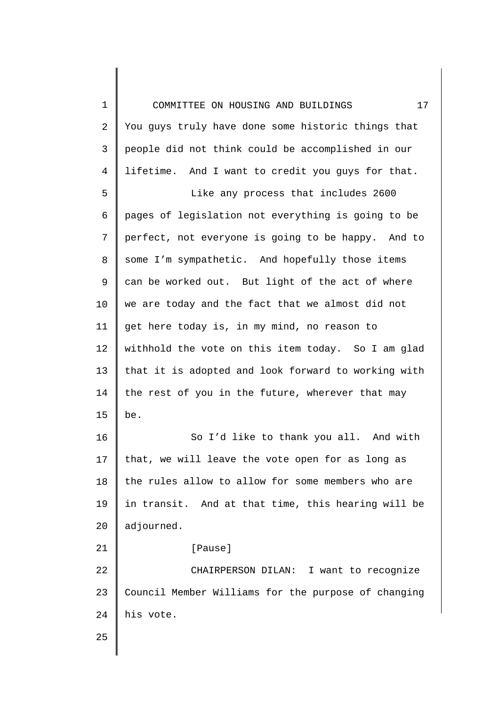1 2 3 4 5 6 7 8 9 10 11 12 13 14 15 16 17 18 19 20 21 22 23 24 25 COMMITTEE ON HOUSING AND BUILDINGS 17 You guys truly have done some historic things that people did not think could be accomplished in our lifetime. And I want to credit you guys for that. Like any process that includes 2600 pages of legislation not everything is going to be perfect, not everyone is going to be happy. And to some I'm sympathetic. And hopefully those items can be worked out. But light of the act of where we are today and the fact that we almost did not get here today is, in my mind, no reason to withhold the vote on this item today. So I am glad that it is adopted and look forward to working with the rest of you in the future, wherever that may be. So I'd like to thank you all. And with that, we will leave the vote open for as long as the rules allow to allow for some members who are in transit. And at that time, this hearing will be adjourned. [Pause] CHAIRPERSON DILAN: I want to recognize Council Member Williams for the purpose of changing his vote.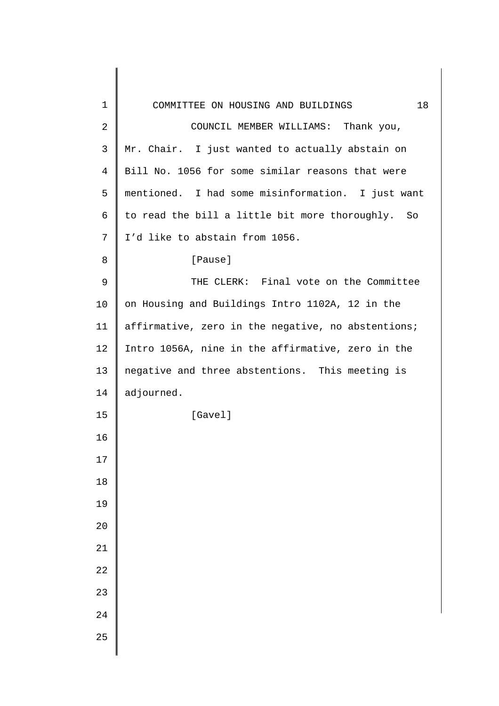| 1    | 18<br>COMMITTEE ON HOUSING AND BUILDINGS           |
|------|----------------------------------------------------|
| 2    | COUNCIL MEMBER WILLIAMS: Thank you,                |
| 3    | Mr. Chair. I just wanted to actually abstain on    |
| 4    | Bill No. 1056 for some similar reasons that were   |
| 5    | mentioned. I had some misinformation. I just want  |
| 6    | to read the bill a little bit more thoroughly. So  |
| 7    | I'd like to abstain from 1056.                     |
| 8    | [Pause]                                            |
| 9    | THE CLERK: Final vote on the Committee             |
| 10   | on Housing and Buildings Intro 1102A, 12 in the    |
| 11   | affirmative, zero in the negative, no abstentions; |
| 12   | Intro 1056A, nine in the affirmative, zero in the  |
| 13   | negative and three abstentions. This meeting is    |
| 14   | adjourned.                                         |
| 15   | [Gavel]                                            |
| 16   |                                                    |
| $17$ |                                                    |
| 18   |                                                    |
| 19   |                                                    |
| 20   |                                                    |
| 21   |                                                    |
| 22   |                                                    |
| 23   |                                                    |
| 24   |                                                    |
| 25   |                                                    |